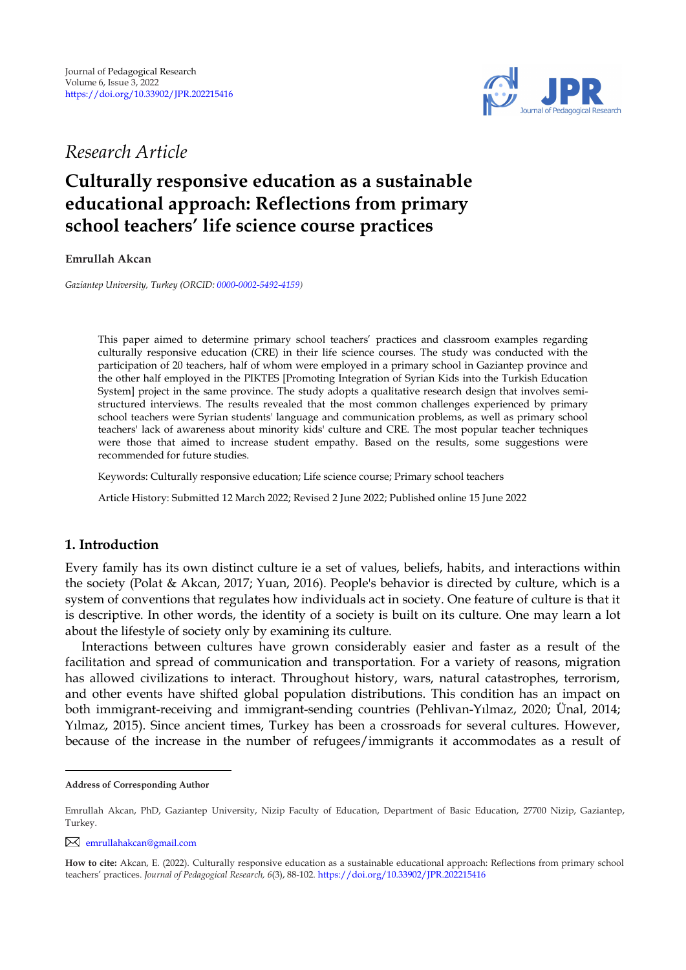

*Research Article*

# **Culturally responsive education as a sustainable educational approach: Reflections from primary school teachers' life science course practices**

**Emrullah Akcan** 

*Gaziantep University, Turkey (ORCID[: 0000-0002-5492-4159\)](https://orcid.org/0000-0002-5492-4159)*

This paper aimed to determine primary school teachers' practices and classroom examples regarding culturally responsive education (CRE) in their life science courses. The study was conducted with the participation of 20 teachers, half of whom were employed in a primary school in Gaziantep province and the other half employed in the PIKTES [Promoting Integration of Syrian Kids into the Turkish Education System] project in the same province. The study adopts a qualitative research design that involves semistructured interviews. The results revealed that the most common challenges experienced by primary school teachers were Syrian students' language and communication problems, as well as primary school teachers' lack of awareness about minority kids' culture and CRE. The most popular teacher techniques were those that aimed to increase student empathy. Based on the results, some suggestions were recommended for future studies.

Keywords: Culturally responsive education; Life science course; Primary school teachers

Article History: Submitted 12 March 2022; Revised 2 June 2022; Published online 15 June 2022

# **1. Introduction**

Every family has its own distinct culture ie a set of values, beliefs, habits, and interactions within the society (Polat & Akcan, 2017; Yuan, 2016). People's behavior is directed by culture, which is a system of conventions that regulates how individuals act in society. One feature of culture is that it is descriptive. In other words, the identity of a society is built on its culture. One may learn a lot about the lifestyle of society only by examining its culture.

Interactions between cultures have grown considerably easier and faster as a result of the facilitation and spread of communication and transportation. For a variety of reasons, migration has allowed civilizations to interact. Throughout history, wars, natural catastrophes, terrorism, and other events have shifted global population distributions. This condition has an impact on both immigrant-receiving and immigrant-sending countries (Pehlivan-Yılmaz, 2020; Ünal, 2014; Yılmaz, 2015). Since ancient times, Turkey has been a crossroads for several cultures. However, because of the increase in the number of refugees/immigrants it accommodates as a result of

[emrullahakcan@gmail.com](mailto:emrullahakcan@gmail.com)

**Address of Corresponding Author**

Emrullah Akcan, PhD, Gaziantep University, Nizip Faculty of Education, Department of Basic Education, 27700 Nizip, Gaziantep, Turkey.

**How to cite:** Akcan, E. (2022). Culturally responsive education as a sustainable educational approach: Reflections from primary school teachers' practices. *Journal of Pedagogical Research, 6*(3), 88-102. <https://doi.org/10.33902/JPR.202215416>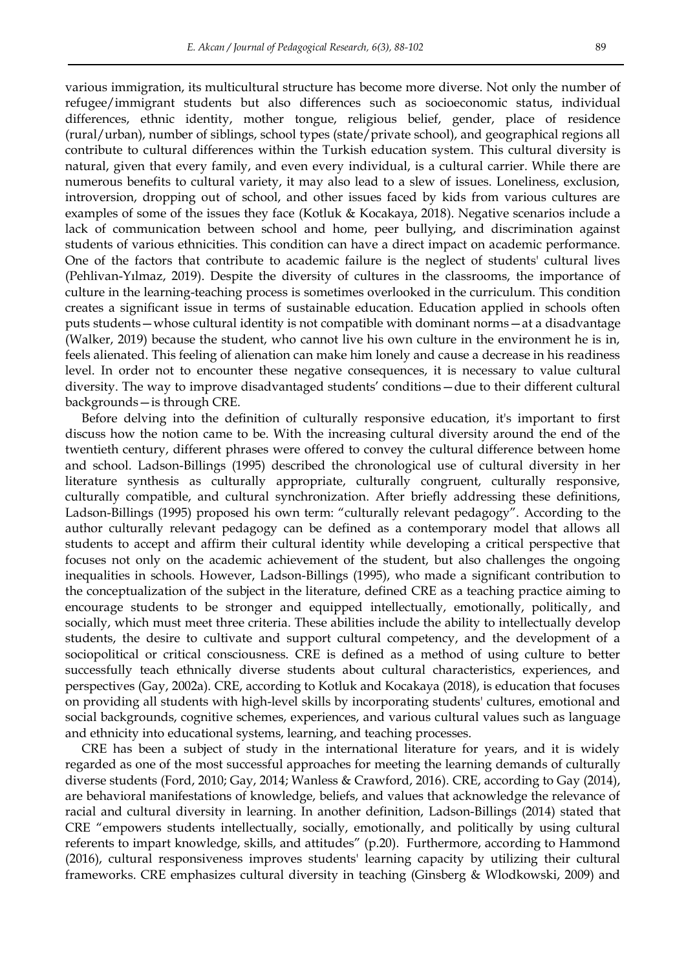various immigration, its multicultural structure has become more diverse. Not only the number of refugee/immigrant students but also differences such as socioeconomic status, individual differences, ethnic identity, mother tongue, religious belief, gender, place of residence (rural/urban), number of siblings, school types (state/private school), and geographical regions all contribute to cultural differences within the Turkish education system. This cultural diversity is natural, given that every family, and even every individual, is a cultural carrier. While there are numerous benefits to cultural variety, it may also lead to a slew of issues. Loneliness, exclusion, introversion, dropping out of school, and other issues faced by kids from various cultures are examples of some of the issues they face (Kotluk & Kocakaya, 2018). Negative scenarios include a lack of communication between school and home, peer bullying, and discrimination against students of various ethnicities. This condition can have a direct impact on academic performance. One of the factors that contribute to academic failure is the neglect of students' cultural lives (Pehlivan-Yılmaz, 2019). Despite the diversity of cultures in the classrooms, the importance of culture in the learning-teaching process is sometimes overlooked in the curriculum. This condition creates a significant issue in terms of sustainable education. Education applied in schools often puts students—whose cultural identity is not compatible with dominant norms—at a disadvantage (Walker, 2019) because the student, who cannot live his own culture in the environment he is in, feels alienated. This feeling of alienation can make him lonely and cause a decrease in his readiness level. In order not to encounter these negative consequences, it is necessary to value cultural diversity. The way to improve disadvantaged students' conditions—due to their different cultural backgrounds—is through CRE.

Before delving into the definition of culturally responsive education, it's important to first discuss how the notion came to be. With the increasing cultural diversity around the end of the twentieth century, different phrases were offered to convey the cultural difference between home and school. Ladson-Billings (1995) described the chronological use of cultural diversity in her literature synthesis as culturally appropriate, culturally congruent, culturally responsive, culturally compatible, and cultural synchronization. After briefly addressing these definitions, Ladson-Billings (1995) proposed his own term: "culturally relevant pedagogy". According to the author culturally relevant pedagogy can be defined as a contemporary model that allows all students to accept and affirm their cultural identity while developing a critical perspective that focuses not only on the academic achievement of the student, but also challenges the ongoing inequalities in schools. However, Ladson-Billings (1995), who made a significant contribution to the conceptualization of the subject in the literature, defined CRE as a teaching practice aiming to encourage students to be stronger and equipped intellectually, emotionally, politically, and socially, which must meet three criteria. These abilities include the ability to intellectually develop students, the desire to cultivate and support cultural competency, and the development of a sociopolitical or critical consciousness. CRE is defined as a method of using culture to better successfully teach ethnically diverse students about cultural characteristics, experiences, and perspectives (Gay, 2002a). CRE, according to Kotluk and Kocakaya (2018), is education that focuses on providing all students with high-level skills by incorporating students' cultures, emotional and social backgrounds, cognitive schemes, experiences, and various cultural values such as language and ethnicity into educational systems, learning, and teaching processes.

CRE has been a subject of study in the international literature for years, and it is widely regarded as one of the most successful approaches for meeting the learning demands of culturally diverse students (Ford, 2010; Gay, 2014; Wanless & Crawford, 2016). CRE, according to Gay (2014), are behavioral manifestations of knowledge, beliefs, and values that acknowledge the relevance of racial and cultural diversity in learning. In another definition, Ladson-Billings (2014) stated that CRE "empowers students intellectually, socially, emotionally, and politically by using cultural referents to impart knowledge, skills, and attitudes" (p.20). Furthermore, according to Hammond (2016), cultural responsiveness improves students' learning capacity by utilizing their cultural frameworks. CRE emphasizes cultural diversity in teaching (Ginsberg & Wlodkowski, 2009) and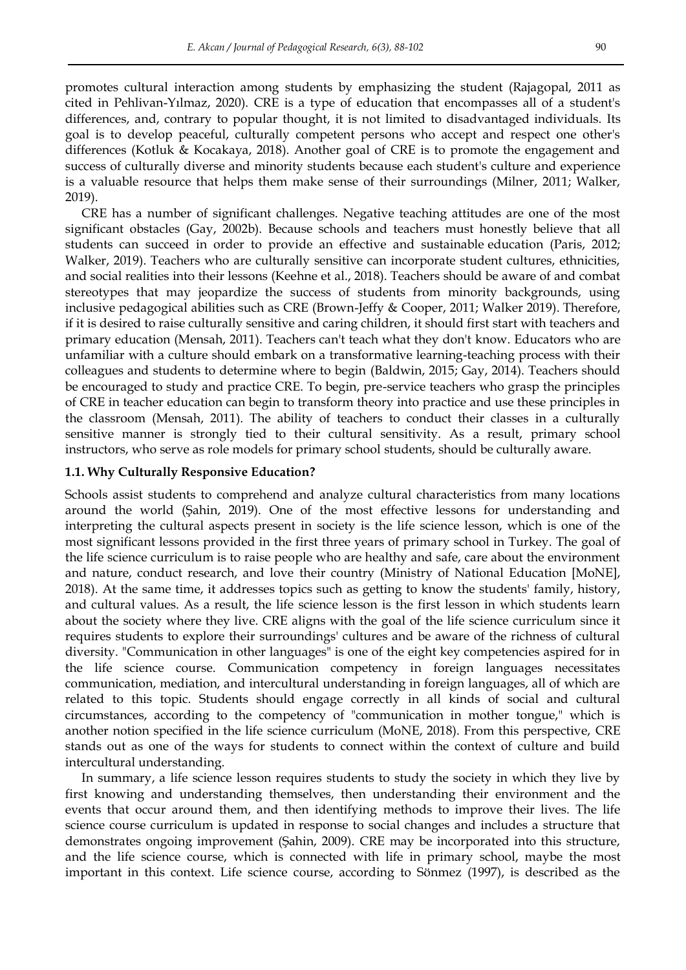promotes cultural interaction among students by emphasizing the student (Rajagopal, 2011 as cited in Pehlivan-Yılmaz, 2020). CRE is a type of education that encompasses all of a student's differences, and, contrary to popular thought, it is not limited to disadvantaged individuals. Its goal is to develop peaceful, culturally competent persons who accept and respect one other's differences (Kotluk & Kocakaya, 2018). Another goal of CRE is to promote the engagement and success of culturally diverse and minority students because each student's culture and experience is a valuable resource that helps them make sense of their surroundings (Milner, 2011; Walker, 2019).

CRE has a number of significant challenges. Negative teaching attitudes are one of the most significant obstacles (Gay, 2002b). Because schools and teachers must honestly believe that all students can succeed in order to provide an effective and sustainable education (Paris, 2012; Walker, 2019). Teachers who are culturally sensitive can incorporate student cultures, ethnicities, and social realities into their lessons (Keehne et al., 2018). Teachers should be aware of and combat stereotypes that may jeopardize the success of students from minority backgrounds, using inclusive pedagogical abilities such as CRE (Brown-Jeffy & Cooper, 2011; Walker 2019). Therefore, if it is desired to raise culturally sensitive and caring children, it should first start with teachers and primary education (Mensah, 2011). Teachers can't teach what they don't know. Educators who are unfamiliar with a culture should embark on a transformative learning-teaching process with their colleagues and students to determine where to begin (Baldwin, 2015; Gay, 2014). Teachers should be encouraged to study and practice CRE. To begin, pre-service teachers who grasp the principles of CRE in teacher education can begin to transform theory into practice and use these principles in the classroom (Mensah, 2011). The ability of teachers to conduct their classes in a culturally sensitive manner is strongly tied to their cultural sensitivity. As a result, primary school instructors, who serve as role models for primary school students, should be culturally aware.

# **1.1. Why Culturally Responsive Education?**

Schools assist students to comprehend and analyze cultural characteristics from many locations around the world (Şahin, 2019). One of the most effective lessons for understanding and interpreting the cultural aspects present in society is the life science lesson, which is one of the most significant lessons provided in the first three years of primary school in Turkey. The goal of the life science curriculum is to raise people who are healthy and safe, care about the environment and nature, conduct research, and love their country (Ministry of National Education [MoNE], 2018). At the same time, it addresses topics such as getting to know the students' family, history, and cultural values. As a result, the life science lesson is the first lesson in which students learn about the society where they live. CRE aligns with the goal of the life science curriculum since it requires students to explore their surroundings' cultures and be aware of the richness of cultural diversity. "Communication in other languages" is one of the eight key competencies aspired for in the life science course. Communication competency in foreign languages necessitates communication, mediation, and intercultural understanding in foreign languages, all of which are related to this topic. Students should engage correctly in all kinds of social and cultural circumstances, according to the competency of "communication in mother tongue," which is another notion specified in the life science curriculum (MoNE, 2018). From this perspective, CRE stands out as one of the ways for students to connect within the context of culture and build intercultural understanding.

In summary, a life science lesson requires students to study the society in which they live by first knowing and understanding themselves, then understanding their environment and the events that occur around them, and then identifying methods to improve their lives. The life science course curriculum is updated in response to social changes and includes a structure that demonstrates ongoing improvement (Şahin, 2009). CRE may be incorporated into this structure, and the life science course, which is connected with life in primary school, maybe the most important in this context. Life science course, according to Sönmez (1997), is described as the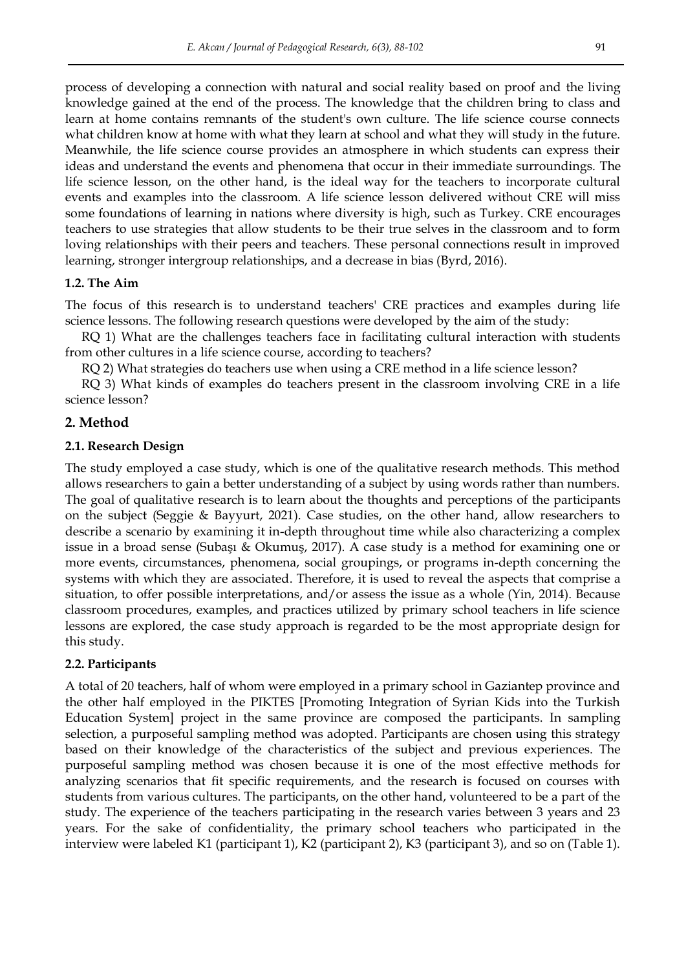process of developing a connection with natural and social reality based on proof and the living knowledge gained at the end of the process. The knowledge that the children bring to class and learn at home contains remnants of the student's own culture. The life science course connects what children know at home with what they learn at school and what they will study in the future. Meanwhile, the life science course provides an atmosphere in which students can express their ideas and understand the events and phenomena that occur in their immediate surroundings. The life science lesson, on the other hand, is the ideal way for the teachers to incorporate cultural events and examples into the classroom. A life science lesson delivered without CRE will miss some foundations of learning in nations where diversity is high, such as Turkey. CRE encourages teachers to use strategies that allow students to be their true selves in the classroom and to form loving relationships with their peers and teachers. These personal connections result in improved learning, stronger intergroup relationships, and a decrease in bias (Byrd, 2016).

## **1.2. The Aim**

The focus of this research is to understand teachers' CRE practices and examples during life science lessons. The following research questions were developed by the aim of the study:

RQ 1) What are the challenges teachers face in facilitating cultural interaction with students from other cultures in a life science course, according to teachers?

RQ 2) What strategies do teachers use when using a CRE method in a life science lesson?

RQ 3) What kinds of examples do teachers present in the classroom involving CRE in a life science lesson?

# **2. Method**

## **2.1. Research Design**

The study employed a case study, which is one of the qualitative research methods. This method allows researchers to gain a better understanding of a subject by using words rather than numbers. The goal of qualitative research is to learn about the thoughts and perceptions of the participants on the subject (Seggie & Bayyurt, 2021). Case studies, on the other hand, allow researchers to describe a scenario by examining it in-depth throughout time while also characterizing a complex issue in a broad sense (Subaşı & Okumuş, 2017). A case study is a method for examining one or more events, circumstances, phenomena, social groupings, or programs in-depth concerning the systems with which they are associated. Therefore, it is used to reveal the aspects that comprise a situation, to offer possible interpretations, and/or assess the issue as a whole (Yin, 2014). Because classroom procedures, examples, and practices utilized by primary school teachers in life science lessons are explored, the case study approach is regarded to be the most appropriate design for this study.

## **2.2. Participants**

A total of 20 teachers, half of whom were employed in a primary school in Gaziantep province and the other half employed in the PIKTES [Promoting Integration of Syrian Kids into the Turkish Education System] project in the same province are composed the participants. In sampling selection, a purposeful sampling method was adopted. Participants are chosen using this strategy based on their knowledge of the characteristics of the subject and previous experiences. The purposeful sampling method was chosen because it is one of the most effective methods for analyzing scenarios that fit specific requirements, and the research is focused on courses with students from various cultures. The participants, on the other hand, volunteered to be a part of the study. The experience of the teachers participating in the research varies between 3 years and 23 years. For the sake of confidentiality, the primary school teachers who participated in the interview were labeled K1 (participant 1), K2 (participant 2), K3 (participant 3), and so on (Table 1).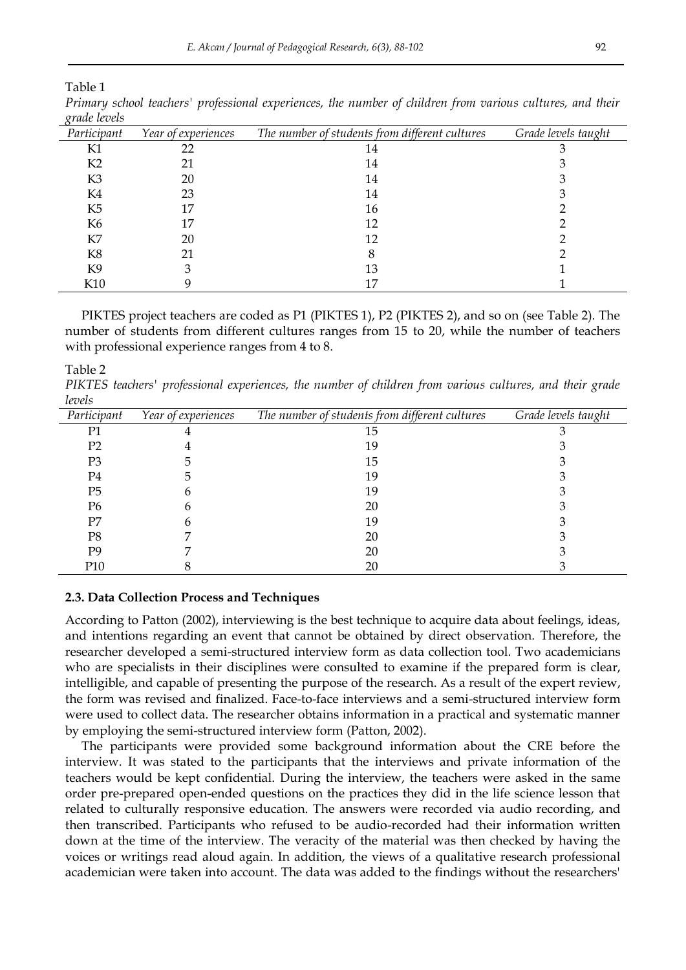Table 1

| $\delta^{\mu\mu\nu}$ holds |                     |                                                |                     |
|----------------------------|---------------------|------------------------------------------------|---------------------|
| Participant                | Year of experiences | The number of students from different cultures | Grade levels taught |
| K1                         | 22                  | 14                                             |                     |
| K2                         | 21                  | 14                                             |                     |
| K3                         | 20                  | 14                                             |                     |
| K4                         | 23                  | 14                                             |                     |
| K <sub>5</sub>             |                     | 16                                             |                     |
| K6                         |                     | 12                                             |                     |
| K7                         | 20                  | 12                                             |                     |
| K8                         | 21                  |                                                |                     |
| K9                         |                     | 13                                             |                     |
| K <sub>10</sub>            |                     |                                                |                     |

*Primary school teachers' professional experiences, the number of children from various cultures, and their grade levels*

PIKTES project teachers are coded as P1 (PIKTES 1), P2 (PIKTES 2), and so on (see Table 2). The number of students from different cultures ranges from 15 to 20, while the number of teachers with professional experience ranges from 4 to 8.

Table 2

*PIKTES teachers' professional experiences, the number of children from various cultures, and their grade levels*

| Participant    | Year of experiences | The number of students from different cultures | Grade levels taught |
|----------------|---------------------|------------------------------------------------|---------------------|
| P1             |                     | 15                                             |                     |
| P <sub>2</sub> |                     | 19                                             |                     |
| P3             |                     | 15                                             |                     |
| P4             |                     | 19                                             |                     |
| P <sub>5</sub> |                     | 19                                             |                     |
| P6             |                     | 20                                             |                     |
| P7             |                     | 19                                             |                     |
| P8             |                     | 20                                             |                     |
| P9             |                     | 20                                             |                     |
| P10            |                     | 20                                             |                     |

#### **2.3. Data Collection Process and Techniques**

According to Patton (2002), interviewing is the best technique to acquire data about feelings, ideas, and intentions regarding an event that cannot be obtained by direct observation. Therefore, the researcher developed a semi-structured interview form as data collection tool. Two academicians who are specialists in their disciplines were consulted to examine if the prepared form is clear, intelligible, and capable of presenting the purpose of the research. As a result of the expert review, the form was revised and finalized. Face-to-face interviews and a semi-structured interview form were used to collect data. The researcher obtains information in a practical and systematic manner by employing the semi-structured interview form (Patton, 2002).

The participants were provided some background information about the CRE before the interview. It was stated to the participants that the interviews and private information of the teachers would be kept confidential. During the interview, the teachers were asked in the same order pre-prepared open-ended questions on the practices they did in the life science lesson that related to culturally responsive education. The answers were recorded via audio recording, and then transcribed. Participants who refused to be audio-recorded had their information written down at the time of the interview. The veracity of the material was then checked by having the voices or writings read aloud again. In addition, the views of a qualitative research professional academician were taken into account. The data was added to the findings without the researchers'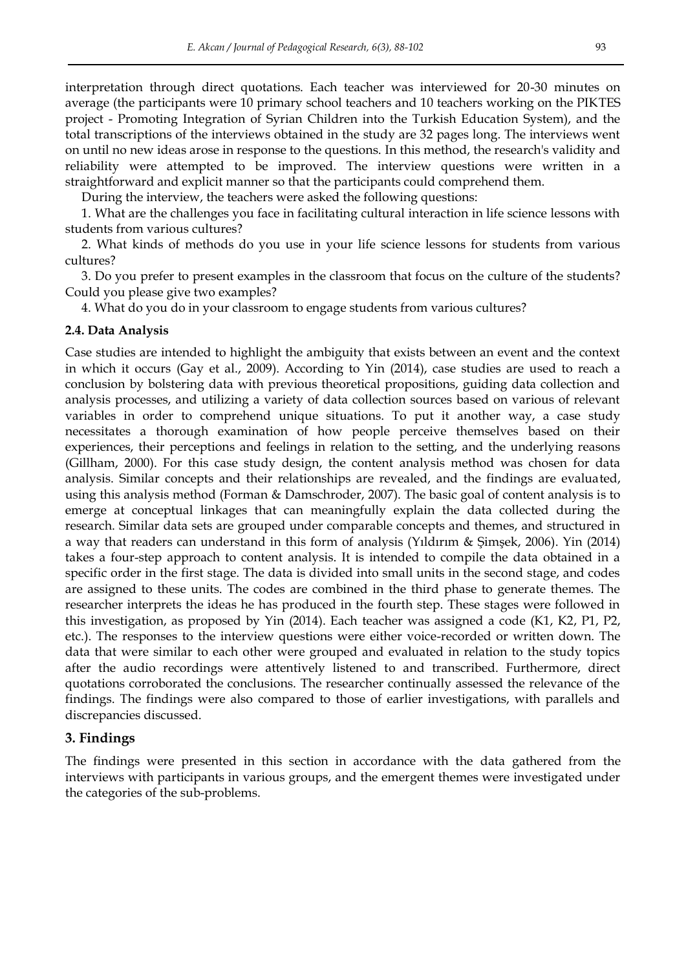interpretation through direct quotations. Each teacher was interviewed for 20-30 minutes on average (the participants were 10 primary school teachers and 10 teachers working on the PIKTES project - Promoting Integration of Syrian Children into the Turkish Education System), and the total transcriptions of the interviews obtained in the study are 32 pages long. The interviews went on until no new ideas arose in response to the questions. In this method, the research's validity and reliability were attempted to be improved. The interview questions were written in a straightforward and explicit manner so that the participants could comprehend them.

During the interview, the teachers were asked the following questions:

1. What are the challenges you face in facilitating cultural interaction in life science lessons with students from various cultures?

2. What kinds of methods do you use in your life science lessons for students from various cultures?

3. Do you prefer to present examples in the classroom that focus on the culture of the students? Could you please give two examples?

4. What do you do in your classroom to engage students from various cultures?

# **2.4. Data Analysis**

Case studies are intended to highlight the ambiguity that exists between an event and the context in which it occurs (Gay et al., 2009). According to Yin (2014), case studies are used to reach a conclusion by bolstering data with previous theoretical propositions, guiding data collection and analysis processes, and utilizing a variety of data collection sources based on various of relevant variables in order to comprehend unique situations. To put it another way, a case study necessitates a thorough examination of how people perceive themselves based on their experiences, their perceptions and feelings in relation to the setting, and the underlying reasons (Gillham, 2000). For this case study design, the content analysis method was chosen for data analysis. Similar concepts and their relationships are revealed, and the findings are evaluated, using this analysis method (Forman & Damschroder, 2007). The basic goal of content analysis is to emerge at conceptual linkages that can meaningfully explain the data collected during the research. Similar data sets are grouped under comparable concepts and themes, and structured in a way that readers can understand in this form of analysis (Yıldırım & Şimşek, 2006). Yin (2014) takes a four-step approach to content analysis. It is intended to compile the data obtained in a specific order in the first stage. The data is divided into small units in the second stage, and codes are assigned to these units. The codes are combined in the third phase to generate themes. The researcher interprets the ideas he has produced in the fourth step. These stages were followed in this investigation, as proposed by Yin (2014). Each teacher was assigned a code (K1, K2, P1, P2, etc.). The responses to the interview questions were either voice-recorded or written down. The data that were similar to each other were grouped and evaluated in relation to the study topics after the audio recordings were attentively listened to and transcribed. Furthermore, direct quotations corroborated the conclusions. The researcher continually assessed the relevance of the findings. The findings were also compared to those of earlier investigations, with parallels and discrepancies discussed.

## **3. Findings**

The findings were presented in this section in accordance with the data gathered from the interviews with participants in various groups, and the emergent themes were investigated under the categories of the sub-problems.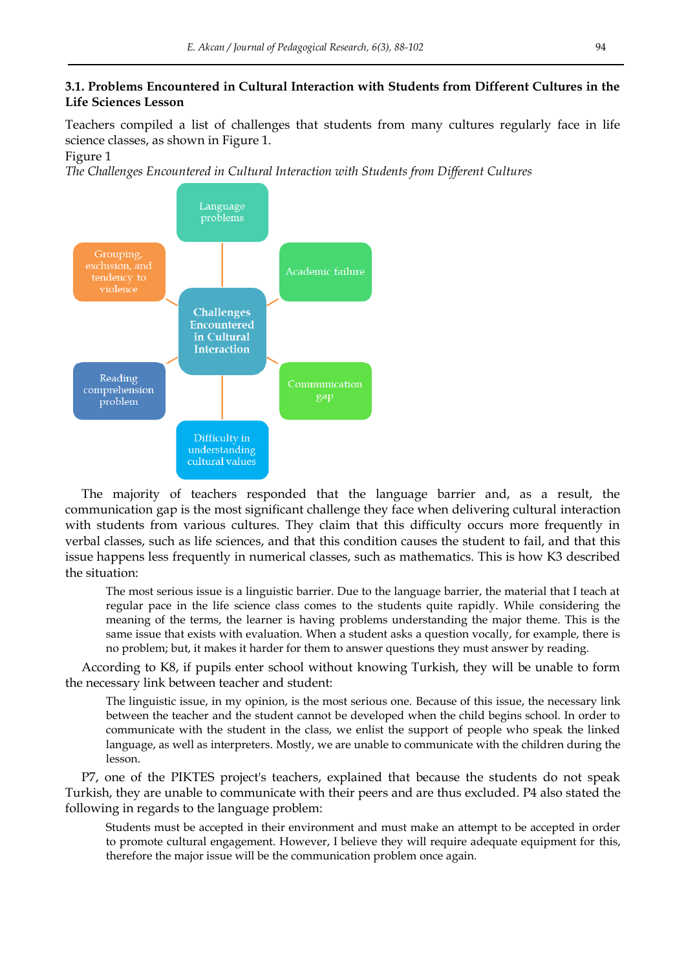# **3.1. Problems Encountered in Cultural Interaction with Students from Different Cultures in the Life Sciences Lesson**

Teachers compiled a list of challenges that students from many cultures regularly face in life science classes, as shown in Figure 1.

# Figure 1

*The Challenges Encountered in Cultural Interaction with Students from Different Cultures*



The majority of teachers responded that the language barrier and, as a result, the communication gap is the most significant challenge they face when delivering cultural interaction with students from various cultures. They claim that this difficulty occurs more frequently in verbal classes, such as life sciences, and that this condition causes the student to fail, and that this issue happens less frequently in numerical classes, such as mathematics. This is how K3 described the situation:

The most serious issue is a linguistic barrier. Due to the language barrier, the material that I teach at regular pace in the life science class comes to the students quite rapidly. While considering the meaning of the terms, the learner is having problems understanding the major theme. This is the same issue that exists with evaluation. When a student asks a question vocally, for example, there is no problem; but, it makes it harder for them to answer questions they must answer by reading.

According to K8, if pupils enter school without knowing Turkish, they will be unable to form the necessary link between teacher and student:

The linguistic issue, in my opinion, is the most serious one. Because of this issue, the necessary link between the teacher and the student cannot be developed when the child begins school. In order to communicate with the student in the class, we enlist the support of people who speak the linked language, as well as interpreters. Mostly, we are unable to communicate with the children during the lesson.

P7, one of the PIKTES project's teachers, explained that because the students do not speak Turkish, they are unable to communicate with their peers and are thus excluded. P4 also stated the following in regards to the language problem:

Students must be accepted in their environment and must make an attempt to be accepted in order to promote cultural engagement. However, I believe they will require adequate equipment for this, therefore the major issue will be the communication problem once again.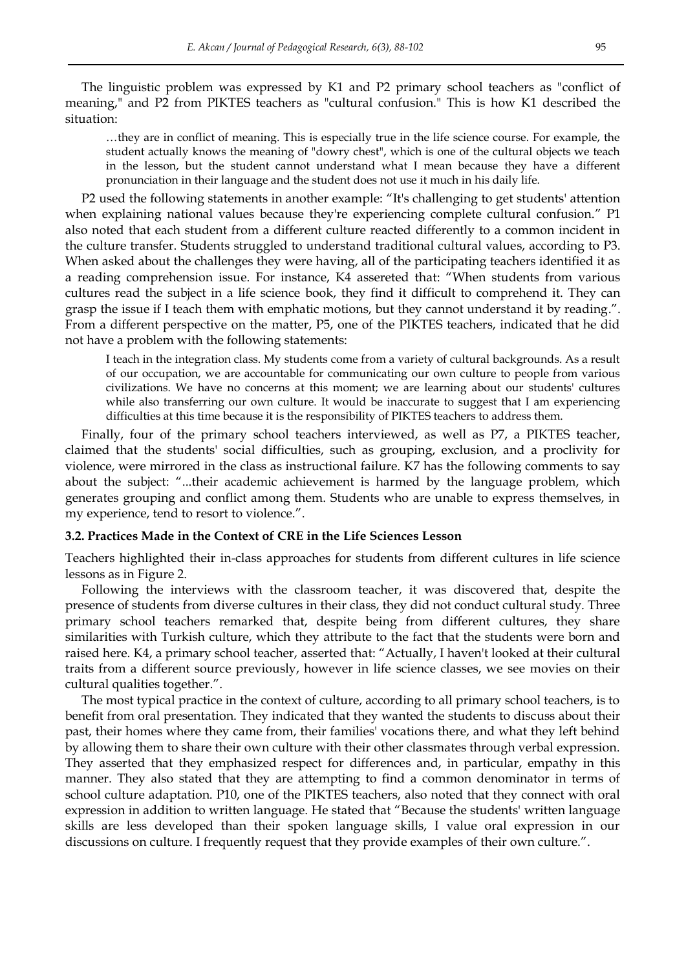The linguistic problem was expressed by K1 and P2 primary school teachers as "conflict of meaning," and P2 from PIKTES teachers as "cultural confusion." This is how K1 described the situation:

…they are in conflict of meaning. This is especially true in the life science course. For example, the student actually knows the meaning of "dowry chest", which is one of the cultural objects we teach in the lesson, but the student cannot understand what I mean because they have a different pronunciation in their language and the student does not use it much in his daily life.

P2 used the following statements in another example: "It's challenging to get students' attention when explaining national values because they're experiencing complete cultural confusion." P1 also noted that each student from a different culture reacted differently to a common incident in the culture transfer. Students struggled to understand traditional cultural values, according to P3. When asked about the challenges they were having, all of the participating teachers identified it as a reading comprehension issue. For instance, K4 assereted that: "When students from various cultures read the subject in a life science book, they find it difficult to comprehend it. They can grasp the issue if I teach them with emphatic motions, but they cannot understand it by reading.". From a different perspective on the matter, P5, one of the PIKTES teachers, indicated that he did not have a problem with the following statements:

I teach in the integration class. My students come from a variety of cultural backgrounds. As a result of our occupation, we are accountable for communicating our own culture to people from various civilizations. We have no concerns at this moment; we are learning about our students' cultures while also transferring our own culture. It would be inaccurate to suggest that I am experiencing difficulties at this time because it is the responsibility of PIKTES teachers to address them.

Finally, four of the primary school teachers interviewed, as well as P7, a PIKTES teacher, claimed that the students' social difficulties, such as grouping, exclusion, and a proclivity for violence, were mirrored in the class as instructional failure. K7 has the following comments to say about the subject: "...their academic achievement is harmed by the language problem, which generates grouping and conflict among them. Students who are unable to express themselves, in my experience, tend to resort to violence.".

## **3.2. Practices Made in the Context of CRE in the Life Sciences Lesson**

Teachers highlighted their in-class approaches for students from different cultures in life science lessons as in Figure 2.

Following the interviews with the classroom teacher, it was discovered that, despite the presence of students from diverse cultures in their class, they did not conduct cultural study. Three primary school teachers remarked that, despite being from different cultures, they share similarities with Turkish culture, which they attribute to the fact that the students were born and raised here. K4, a primary school teacher, asserted that: "Actually, I haven't looked at their cultural traits from a different source previously, however in life science classes, we see movies on their cultural qualities together.".

The most typical practice in the context of culture, according to all primary school teachers, is to benefit from oral presentation. They indicated that they wanted the students to discuss about their past, their homes where they came from, their families' vocations there, and what they left behind by allowing them to share their own culture with their other classmates through verbal expression. They asserted that they emphasized respect for differences and, in particular, empathy in this manner. They also stated that they are attempting to find a common denominator in terms of school culture adaptation. P10, one of the PIKTES teachers, also noted that they connect with oral expression in addition to written language. He stated that "Because the students' written language skills are less developed than their spoken language skills, I value oral expression in our discussions on culture. I frequently request that they provide examples of their own culture.".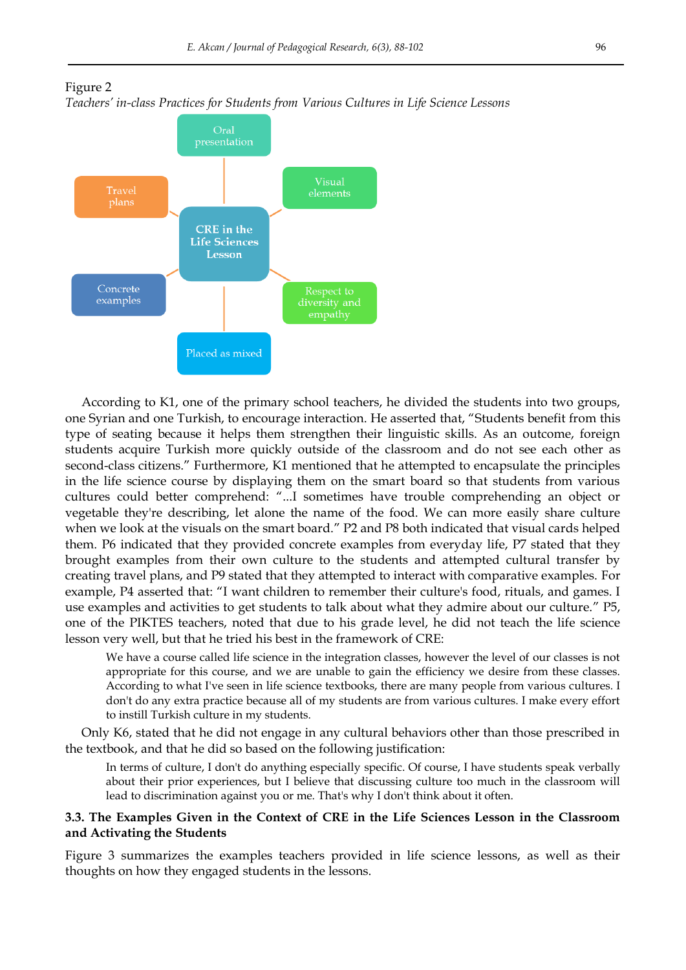



According to K1, one of the primary school teachers, he divided the students into two groups, one Syrian and one Turkish, to encourage interaction. He asserted that, "Students benefit from this type of seating because it helps them strengthen their linguistic skills. As an outcome, foreign students acquire Turkish more quickly outside of the classroom and do not see each other as second-class citizens." Furthermore, K1 mentioned that he attempted to encapsulate the principles in the life science course by displaying them on the smart board so that students from various cultures could better comprehend: "...I sometimes have trouble comprehending an object or vegetable they're describing, let alone the name of the food. We can more easily share culture when we look at the visuals on the smart board." P2 and P8 both indicated that visual cards helped them. P6 indicated that they provided concrete examples from everyday life, P7 stated that they brought examples from their own culture to the students and attempted cultural transfer by creating travel plans, and P9 stated that they attempted to interact with comparative examples. For example, P4 asserted that: "I want children to remember their culture's food, rituals, and games. I use examples and activities to get students to talk about what they admire about our culture." P5, one of the PIKTES teachers, noted that due to his grade level, he did not teach the life science lesson very well, but that he tried his best in the framework of CRE:

We have a course called life science in the integration classes, however the level of our classes is not appropriate for this course, and we are unable to gain the efficiency we desire from these classes. According to what I've seen in life science textbooks, there are many people from various cultures. I don't do any extra practice because all of my students are from various cultures. I make every effort to instill Turkish culture in my students.

Only K6, stated that he did not engage in any cultural behaviors other than those prescribed in the textbook, and that he did so based on the following justification:

In terms of culture, I don't do anything especially specific. Of course, I have students speak verbally about their prior experiences, but I believe that discussing culture too much in the classroom will lead to discrimination against you or me. That's why I don't think about it often.

# **3.3. The Examples Given in the Context of CRE in the Life Sciences Lesson in the Classroom and Activating the Students**

Figure 3 summarizes the examples teachers provided in life science lessons, as well as their thoughts on how they engaged students in the lessons.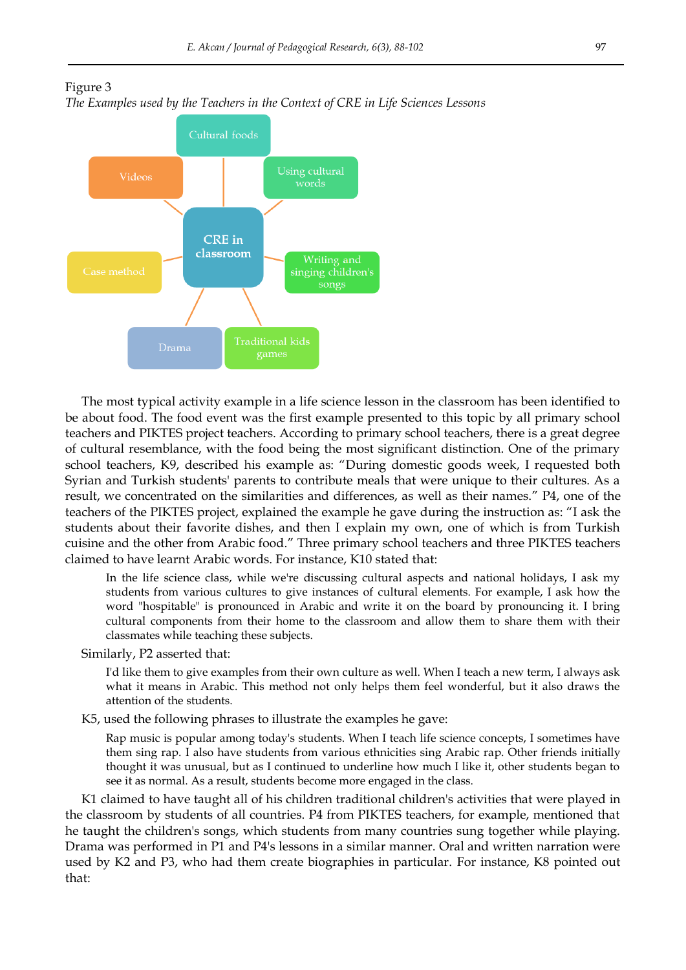



The most typical activity example in a life science lesson in the classroom has been identified to be about food. The food event was the first example presented to this topic by all primary school teachers and PIKTES project teachers. According to primary school teachers, there is a great degree of cultural resemblance, with the food being the most significant distinction. One of the primary school teachers, K9, described his example as: "During domestic goods week, I requested both Syrian and Turkish students' parents to contribute meals that were unique to their cultures. As a result, we concentrated on the similarities and differences, as well as their names." P4, one of the teachers of the PIKTES project, explained the example he gave during the instruction as: "I ask the students about their favorite dishes, and then I explain my own, one of which is from Turkish cuisine and the other from Arabic food." Three primary school teachers and three PIKTES teachers claimed to have learnt Arabic words. For instance, K10 stated that:

In the life science class, while we're discussing cultural aspects and national holidays, I ask my students from various cultures to give instances of cultural elements. For example, I ask how the word "hospitable" is pronounced in Arabic and write it on the board by pronouncing it. I bring cultural components from their home to the classroom and allow them to share them with their classmates while teaching these subjects.

Similarly, P2 asserted that:

I'd like them to give examples from their own culture as well. When I teach a new term, I always ask what it means in Arabic. This method not only helps them feel wonderful, but it also draws the attention of the students.

K5, used the following phrases to illustrate the examples he gave:

Rap music is popular among today's students. When I teach life science concepts, I sometimes have them sing rap. I also have students from various ethnicities sing Arabic rap. Other friends initially thought it was unusual, but as I continued to underline how much I like it, other students began to see it as normal. As a result, students become more engaged in the class.

K1 claimed to have taught all of his children traditional children's activities that were played in the classroom by students of all countries. P4 from PIKTES teachers, for example, mentioned that he taught the children's songs, which students from many countries sung together while playing. Drama was performed in P1 and P4's lessons in a similar manner. Oral and written narration were used by K2 and P3, who had them create biographies in particular. For instance, K8 pointed out that: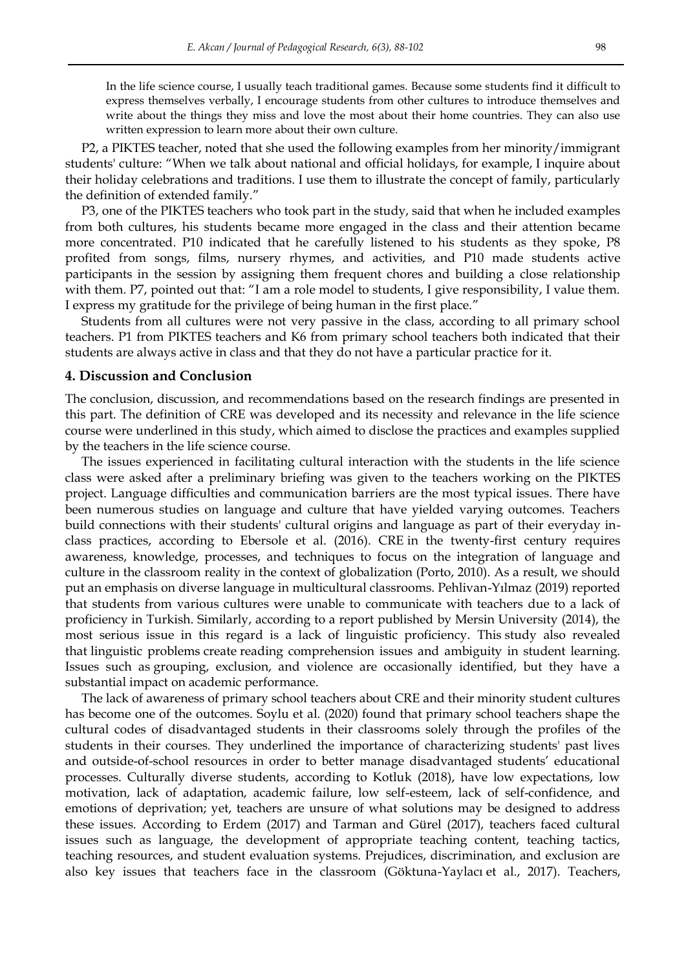In the life science course, I usually teach traditional games. Because some students find it difficult to express themselves verbally, I encourage students from other cultures to introduce themselves and write about the things they miss and love the most about their home countries. They can also use written expression to learn more about their own culture.

P2, a PIKTES teacher, noted that she used the following examples from her minority/immigrant students' culture: "When we talk about national and official holidays, for example, I inquire about their holiday celebrations and traditions. I use them to illustrate the concept of family, particularly the definition of extended family."

P3, one of the PIKTES teachers who took part in the study, said that when he included examples from both cultures, his students became more engaged in the class and their attention became more concentrated. P10 indicated that he carefully listened to his students as they spoke, P8 profited from songs, films, nursery rhymes, and activities, and P10 made students active participants in the session by assigning them frequent chores and building a close relationship with them. P7, pointed out that: "I am a role model to students, I give responsibility, I value them. I express my gratitude for the privilege of being human in the first place."

Students from all cultures were not very passive in the class, according to all primary school teachers. P1 from PIKTES teachers and K6 from primary school teachers both indicated that their students are always active in class and that they do not have a particular practice for it.

## **4. Discussion and Conclusion**

The conclusion, discussion, and recommendations based on the research findings are presented in this part. The definition of CRE was developed and its necessity and relevance in the life science course were underlined in this study, which aimed to disclose the practices and examples supplied by the teachers in the life science course.

The issues experienced in facilitating cultural interaction with the students in the life science class were asked after a preliminary briefing was given to the teachers working on the PIKTES project. Language difficulties and communication barriers are the most typical issues. There have been numerous studies on language and culture that have yielded varying outcomes. Teachers build connections with their students' cultural origins and language as part of their everyday inclass practices, according to Ebersole et al. (2016). CRE in the twenty-first century requires awareness, knowledge, processes, and techniques to focus on the integration of language and culture in the classroom reality in the context of globalization (Porto, 2010). As a result, we should put an emphasis on diverse language in multicultural classrooms. Pehlivan-Yılmaz (2019) reported that students from various cultures were unable to communicate with teachers due to a lack of proficiency in Turkish. Similarly, according to a report published by Mersin University (2014), the most serious issue in this regard is a lack of linguistic proficiency. This study also revealed that linguistic problems create reading comprehension issues and ambiguity in student learning. Issues such as grouping, exclusion, and violence are occasionally identified, but they have a substantial impact on academic performance.

The lack of awareness of primary school teachers about CRE and their minority student cultures has become one of the outcomes. Soylu et al. (2020) found that primary school teachers shape the cultural codes of disadvantaged students in their classrooms solely through the profiles of the students in their courses. They underlined the importance of characterizing students' past lives and outside-of-school resources in order to better manage disadvantaged students' educational processes. Culturally diverse students, according to Kotluk (2018), have low expectations, low motivation, lack of adaptation, academic failure, low self-esteem, lack of self-confidence, and emotions of deprivation; yet, teachers are unsure of what solutions may be designed to address these issues. According to Erdem (2017) and Tarman and Gürel (2017), teachers faced cultural issues such as language, the development of appropriate teaching content, teaching tactics, teaching resources, and student evaluation systems. Prejudices, discrimination, and exclusion are also key issues that teachers face in the classroom (Göktuna-Yaylacı et al., 2017). Teachers,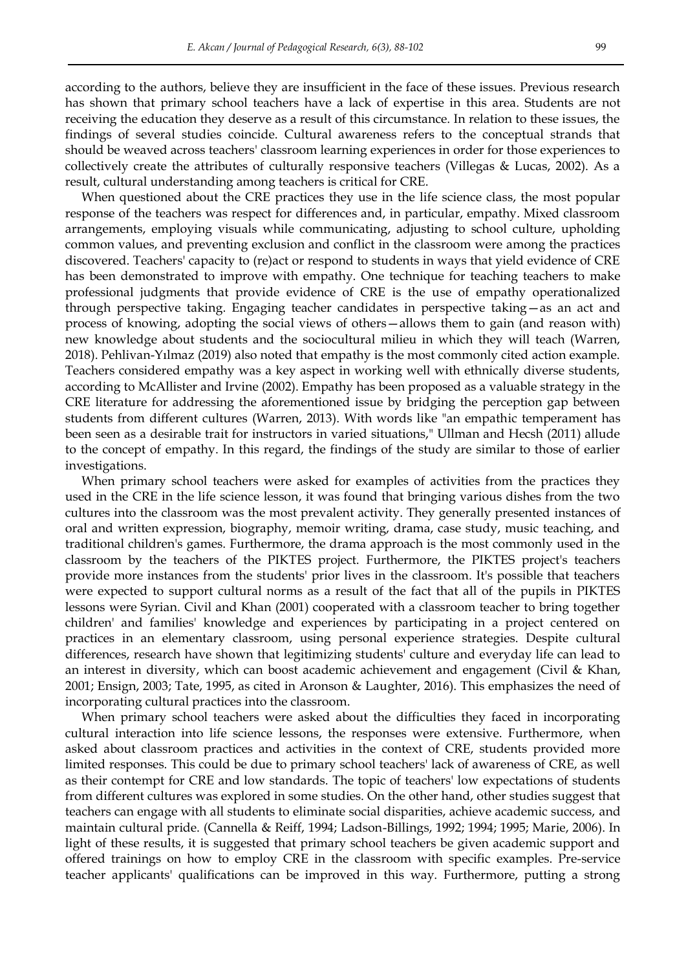according to the authors, believe they are insufficient in the face of these issues. Previous research has shown that primary school teachers have a lack of expertise in this area. Students are not receiving the education they deserve as a result of this circumstance. In relation to these issues, the findings of several studies coincide. Cultural awareness refers to the conceptual strands that should be weaved across teachers' classroom learning experiences in order for those experiences to collectively create the attributes of culturally responsive teachers (Villegas & Lucas, 2002). As a result, cultural understanding among teachers is critical for CRE.

When questioned about the CRE practices they use in the life science class, the most popular response of the teachers was respect for differences and, in particular, empathy. Mixed classroom arrangements, employing visuals while communicating, adjusting to school culture, upholding common values, and preventing exclusion and conflict in the classroom were among the practices discovered. Teachers' capacity to (re)act or respond to students in ways that yield evidence of CRE has been demonstrated to improve with empathy. One technique for teaching teachers to make professional judgments that provide evidence of CRE is the use of empathy operationalized through perspective taking. Engaging teacher candidates in perspective taking—as an act and process of knowing, adopting the social views of others—allows them to gain (and reason with) new knowledge about students and the sociocultural milieu in which they will teach (Warren, 2018). Pehlivan-Yılmaz (2019) also noted that empathy is the most commonly cited action example. Teachers considered empathy was a key aspect in working well with ethnically diverse students, according to McAllister and Irvine (2002). Empathy has been proposed as a valuable strategy in the CRE literature for addressing the aforementioned issue by bridging the perception gap between students from different cultures (Warren, 2013). With words like "an empathic temperament has been seen as a desirable trait for instructors in varied situations," Ullman and Hecsh (2011) allude to the concept of empathy. In this regard, the findings of the study are similar to those of earlier investigations.

When primary school teachers were asked for examples of activities from the practices they used in the CRE in the life science lesson, it was found that bringing various dishes from the two cultures into the classroom was the most prevalent activity. They generally presented instances of oral and written expression, biography, memoir writing, drama, case study, music teaching, and traditional children's games. Furthermore, the drama approach is the most commonly used in the classroom by the teachers of the PIKTES project. Furthermore, the PIKTES project's teachers provide more instances from the students' prior lives in the classroom. It's possible that teachers were expected to support cultural norms as a result of the fact that all of the pupils in PIKTES lessons were Syrian. Civil and Khan (2001) cooperated with a classroom teacher to bring together children' and families' knowledge and experiences by participating in a project centered on practices in an elementary classroom, using personal experience strategies. Despite cultural differences, research have shown that legitimizing students' culture and everyday life can lead to an interest in diversity, which can boost academic achievement and engagement (Civil & Khan, 2001; Ensign, 2003; Tate, 1995, as cited in Aronson & Laughter, 2016). This emphasizes the need of incorporating cultural practices into the classroom.

When primary school teachers were asked about the difficulties they faced in incorporating cultural interaction into life science lessons, the responses were extensive. Furthermore, when asked about classroom practices and activities in the context of CRE, students provided more limited responses. This could be due to primary school teachers' lack of awareness of CRE, as well as their contempt for CRE and low standards. The topic of teachers' low expectations of students from different cultures was explored in some studies. On the other hand, other studies suggest that teachers can engage with all students to eliminate social disparities, achieve academic success, and maintain cultural pride. (Cannella & Reiff, 1994; Ladson-Billings, 1992; 1994; 1995; Marie, 2006). In light of these results, it is suggested that primary school teachers be given academic support and offered trainings on how to employ CRE in the classroom with specific examples. Pre-service teacher applicants' qualifications can be improved in this way. Furthermore, putting a strong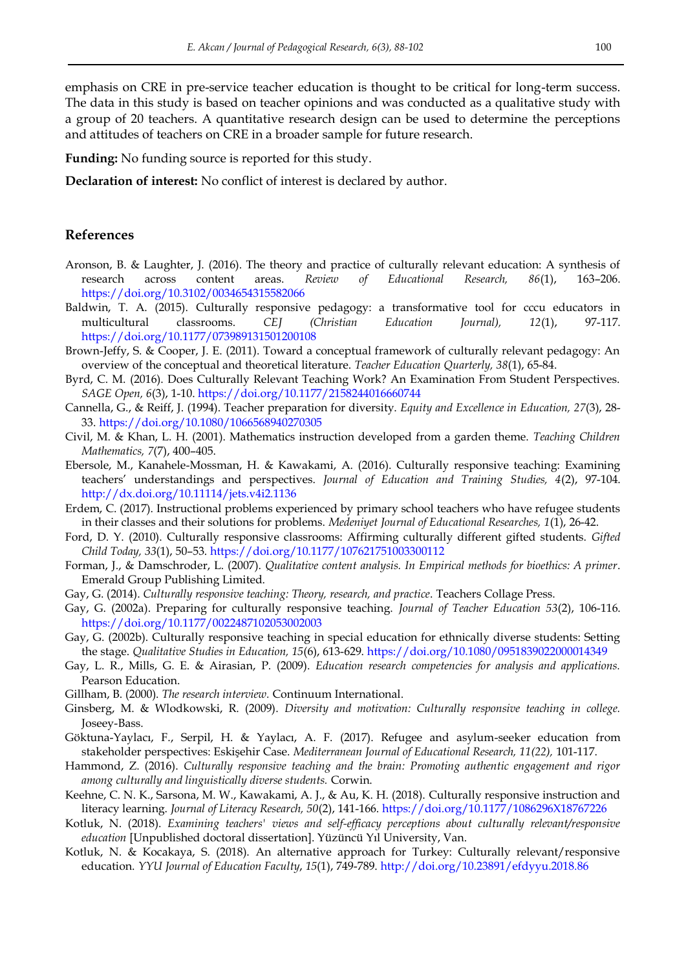emphasis on CRE in pre-service teacher education is thought to be critical for long-term success. The data in this study is based on teacher opinions and was conducted as a qualitative study with a group of 20 teachers. A quantitative research design can be used to determine the perceptions and attitudes of teachers on CRE in a broader sample for future research.

**Funding:** No funding source is reported for this study.

**Declaration of interest:** No conflict of interest is declared by author.

### **References**

- Aronson, B. & Laughter, J. (2016). The theory and practice of culturally relevant education: A synthesis of research across content areas. *Review of Educational Research, 86*(1), 163–206. <https://doi.org/10.3102/0034654315582066>
- Baldwin, T. A. (2015). Culturally responsive pedagogy: a transformative tool for cccu educators in multicultural classrooms. *CEJ (Christian Education Journal), 12*(1), 97-117. <https://doi.org/10.1177/073989131501200108>
- Brown-Jeffy, S. & Cooper, J. E. (2011). Toward a conceptual framework of culturally relevant pedagogy: An overview of the conceptual and theoretical literature. *Teacher Education Quarterly, 38*(1), 65-84.
- Byrd, C. M. (2016). Does Culturally Relevant Teaching Work? An Examination From Student Perspectives. *SAGE Open, 6*(3), 1-10[. https://doi.org/10.1177/2158244016660744](https://doi.org/10.1177/2158244016660744)
- Cannella, G., & Reiff, J. (1994). Teacher preparation for diversity. *Equity and Excellence in Education, 27*(3), 28- 33.<https://doi.org/10.1080/1066568940270305>
- Civil, M. & Khan, L. H. (2001). Mathematics instruction developed from a garden theme. *Teaching Children Mathematics, 7*(7), 400–405.
- Ebersole, M., Kanahele-Mossman, H. & Kawakami, A. (2016). Culturally responsive teaching: Examining teachers' understandings and perspectives. *Journal of Education and Training Studies, 4*(2), 97-104. <http://dx.doi.org/10.11114/jets.v4i2.1136>
- Erdem, C. (2017). Instructional problems experienced by primary school teachers who have refugee students in their classes and their solutions for problems. *Medeniyet Journal of Educational Researches, 1*(1), 26-42.
- Ford, D. Y. (2010). Culturally responsive classrooms: Affirming culturally different gifted students. *Gifted Child Today, 33*(1), 50–53.<https://doi.org/10.1177/107621751003300112>
- Forman, J., & Damschroder, L. (2007). *Qualitative content analysis. In Empirical methods for bioethics: A primer*. Emerald Group Publishing Limited.
- Gay, G. (2014). *Culturally responsive teaching: Theory, research, and practice*. Teachers Collage Press.
- Gay, G. (2002a). Preparing for culturally responsive teaching. *Journal of Teacher Education 53*(2), 106-116. <https://doi.org/10.1177/0022487102053002003>
- Gay, G. (2002b). Culturally responsive teaching in special education for ethnically diverse students: Setting the stage. *Qualitative Studies in Education, 15*(6), 613-629.<https://doi.org/10.1080/0951839022000014349>
- Gay, L. R., Mills, G. E. & Airasian, P. (2009). *Education research competencies for analysis and applications.* Pearson Education.
- Gillham, B. (2000). *The research interview.* Continuum International.
- Ginsberg, M. & Wlodkowski, R. (2009). *Diversity and motivation: Culturally responsive teaching in college.*  Joseey-Bass.
- Göktuna-Yaylacı, F., Serpil, H. & Yaylacı, A. F. (2017). Refugee and asylum-seeker education from stakeholder perspectives: Eskişehir Case. *Mediterranean Journal of Educational Research, 11(22),* 101-117.
- Hammond, Z. (2016). *Culturally responsive teaching and the brain: Promoting authentic engagement and rigor among culturally and linguistically diverse students.* Corwin.
- Keehne, C. N. K., Sarsona, M. W., Kawakami, A. J., & Au, K. H. (2018). Culturally responsive instruction and literacy learning. *Journal of Literacy Research, 50*(2), 141-166. <https://doi.org/10.1177/1086296X18767226>
- Kotluk, N. (2018). *Examining teachers' views and self-efficacy perceptions about culturally relevant/responsive education* [Unpublished doctoral dissertation]. Yüzüncü Yıl University, Van.
- Kotluk, N. & Kocakaya, S. (2018). An alternative approach for Turkey: Culturally relevant/responsive education. *YYU Journal of Education Faculty*, *15*(1), 749-789.<http://doi.org/10.23891/efdyyu.2018.86>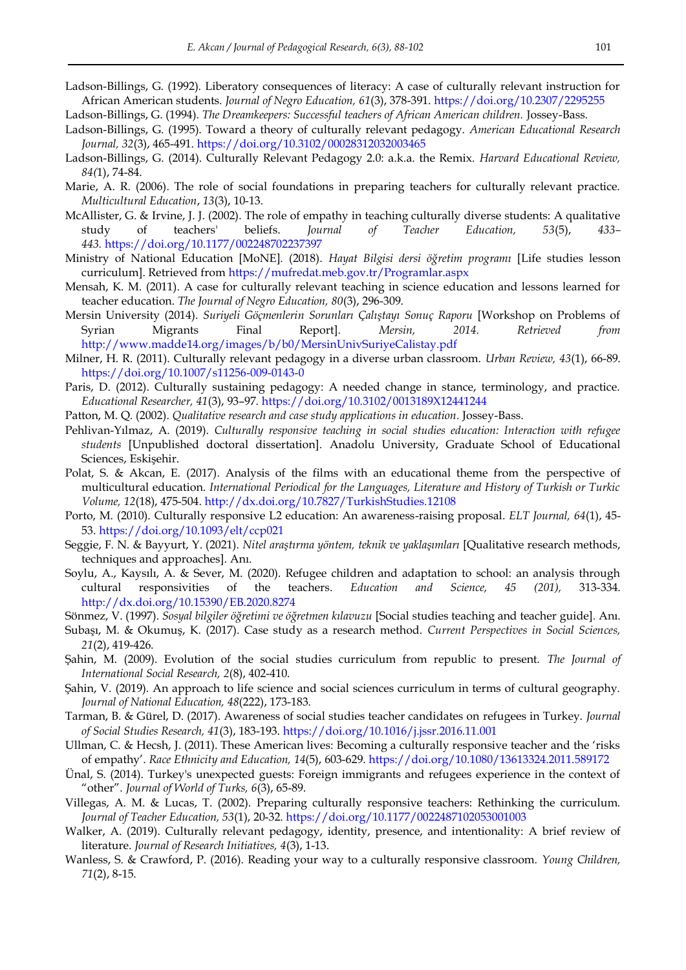- Ladson-Billings, G. (1992). Liberatory consequences of literacy: A case of culturally relevant instruction for African American students. *Journal of Negro Education, 61*(3), 378-391. <https://doi.org/10.2307/2295255>
- Ladson-Billings, G. (1994). *The Dreamkeepers: Successful teachers of African American children.* Jossey-Bass.
- Ladson-Billings, G. (1995). Toward a theory of culturally relevant pedagogy. *American Educational Research Journal, 32*(3), 465-491.<https://doi.org/10.3102/00028312032003465>
- Ladson-Billings, G. (2014). Culturally Relevant Pedagogy 2.0: a.k.a. the Remix. *Harvard Educational Review, 84(*1), 74-84.
- Marie, A. R. (2006). The role of social foundations in preparing teachers for culturally relevant practice. *Multicultural Education*, *13*(3), 10-13.
- McAllister, G. & Irvine, J. J. (2002). The role of empathy in teaching culturally diverse students: A qualitative study of teachers' beliefs. *Journal of Teacher Education, 53*(5), *433– 443.* [https://doi.org/10.1177/002248702237397](https://doi.org/10.1177%2F002248702237397)
- Ministry of National Education [MoNE]. (2018). *Hayat Bilgisi dersi öğretim programı* [Life studies lesson curriculum]. Retrieved from<https://mufredat.meb.gov.tr/Programlar.aspx>
- Mensah, K. M. (2011). A case for culturally relevant teaching in science education and lessons learned for teacher education. *The Journal of Negro Education, 80*(3), 296-309.
- Mersin University (2014). *Suriyeli Göçmenlerin Sorunları Çalıştayı Sonuç Raporu* [Workshop on Problems of Syrian Migrants Final Report]*. Mersin, 2014. Retrieved from*  <http://www.madde14.org/images/b/b0/MersinUnivSuriyeCalistay.pdf>
- Milner, H. R. (2011). Culturally relevant pedagogy in a diverse urban classroom. *Urban Review, 43*(1), 66-89. <https://doi.org/10.1007/s11256-009-0143-0>
- Paris, D. (2012). Culturally sustaining pedagogy: A needed change in stance, terminology, and practice. *Educational Researcher, 41*(3), 93–97. [https://doi.org/10.3102/0013189X12441244](https://doi.org/10.3102%2F0013189X12441244)
- Patton, M. Q. (2002). *Qualitative research and case study applications in education*. Jossey-Bass.
- Pehlivan-Yılmaz, A. (2019). *Culturally responsive teaching in social studies education: Interaction with refugee students* [Unpublished doctoral dissertation]*.* Anadolu University, Graduate School of Educational Sciences, Eskişehir.
- Polat, S. & Akcan, E. (2017). Analysis of the films with an educational theme from the perspective of multicultural education. *International Periodical for the Languages, Literature and History of Turkish or Turkic Volume, 12*(18), 475-504[. http://dx.doi.org/10.7827/TurkishStudies.12108](http://dx.doi.org/10.7827/TurkishStudies.12108)
- Porto, M. (2010). Culturally responsive L2 education: An awareness-raising proposal. *ELT Journal, 64*(1), 45- 53.<https://doi.org/10.1093/elt/ccp021>
- Seggie, F. N. & Bayyurt, Y. (2021). *Nitel araştırma yöntem, teknik ve yaklaşımları* [Qualitative research methods, techniques and approaches]. Anı.
- Soylu, A., Kaysılı, A. & Sever, M. (2020). Refugee children and adaptation to school: an analysis through cultural responsivities of the teachers. *Education and Science, 45 (201),* 313-334. <http://dx.doi.org/10.15390/EB.2020.8274>
- Sönmez, V. (1997). *Sosyal bilgiler öğretimi ve öğretmen kılavuzu* [Social studies teaching and teacher guide]*.* Anı.
- Subaşı, M. & Okumuş, K. (2017). Case study as a research method. *Current Perspectives in Social Sciences, 21*(2), 419-426.
- Şahin, M. (2009). Evolution of the social studies curriculum from republic to present. *The Journal of International Social Research, 2*(8), 402-410.
- Şahin, V. (2019). An approach to life science and social sciences curriculum in terms of cultural geography. *Journal of National Education, 48*(222), 173-183.
- Tarman, B. & Gürel, D. (2017). Awareness of social studies teacher candidates on refugees in Turkey. *Journal of Social Studies Research, 41*(3), 183-193.<https://doi.org/10.1016/j.jssr.2016.11.001>
- Ullman, C. & Hecsh, J. (2011). These American lives: Becoming a culturally responsive teacher and the 'risks of empathy'. *Race Ethnicity and Education, 14*(5), 603-629.<https://doi.org/10.1080/13613324.2011.589172>
- Ünal, S. (2014). Turkey's unexpected guests: Foreign immigrants and refugees experience in the context of ―other‖. *Journal of World of Turks, 6*(3), 65-89.
- Villegas, A. M. & Lucas, T. (2002). Preparing culturally responsive teachers: Rethinking the curriculum. *Journal of Teacher Education, 53*(1), 20-32. [https://doi.org/10.1177/0022487102053001003](https://doi.org/10.1177%2F0022487102053001003)
- Walker, A. (2019). Culturally relevant pedagogy, identity, presence, and intentionality: A brief review of literature. *Journal of Research Initiatives, 4*(3), 1-13.
- Wanless, S. & Crawford, P. (2016). Reading your way to a culturally responsive classroom. *Young Children, 71*(2), 8-15.